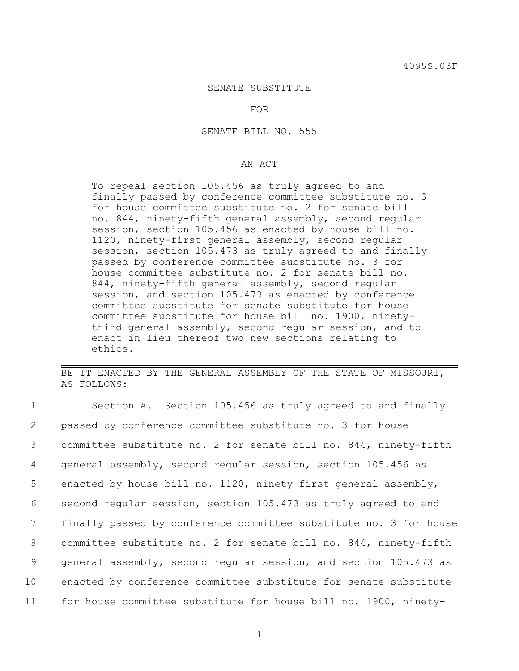## SENATE SUBSTITUTE

FOR

SENATE BILL NO. 555

## AN ACT

To repeal section 105.456 as truly agreed to and finally passed by conference committee substitute no. 3 for house committee substitute no. 2 for senate bill no. 844, ninety-fifth general assembly, second regular session, section 105.456 as enacted by house bill no. 1120, ninety-first general assembly, second regular session, section 105.473 as truly agreed to and finally passed by conference committee substitute no. 3 for house committee substitute no. 2 for senate bill no. 844, ninety-fifth general assembly, second regular session, and section 105.473 as enacted by conference committee substitute for senate substitute for house committee substitute for house bill no. 1900, ninetythird general assembly, second regular session, and to enact in lieu thereof two new sections relating to ethics.

BE IT ENACTED BY THE GENERAL ASSEMBLY OF THE STATE OF MISSOURI, AS FOLLOWS:

| $\mathbf{1}$ | Section A. Section 105.456 as truly agreed to and finally         |
|--------------|-------------------------------------------------------------------|
| 2            | passed by conference committee substitute no. 3 for house         |
| 3            | committee substitute no. 2 for senate bill no. 844, ninety-fifth  |
| 4            | general assembly, second regular session, section 105.456 as      |
| 5            | enacted by house bill no. 1120, ninety-first general assembly,    |
| 6            | second regular session, section 105.473 as truly agreed to and    |
| 7            | finally passed by conference committee substitute no. 3 for house |
| 8            | committee substitute no. 2 for senate bill no. 844, ninety-fifth  |
| 9            | general assembly, second regular session, and section 105.473 as  |
| 10           | enacted by conference committee substitute for senate substitute  |
| 11           | for house committee substitute for house bill no. 1900, ninety-   |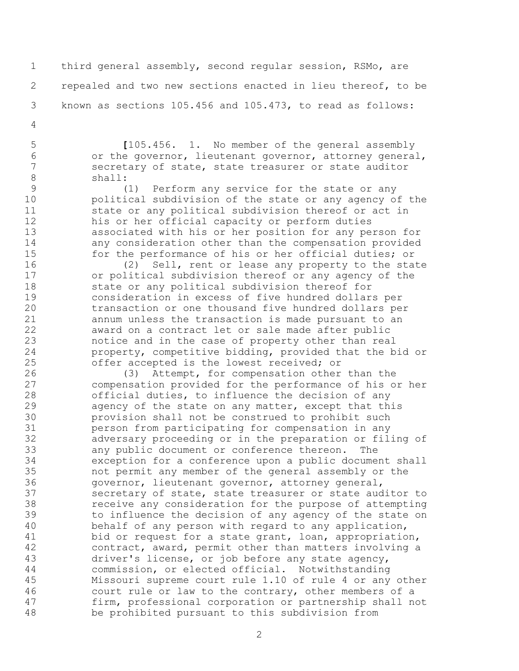third general assembly, second regular session, RSMo, are repealed and two new sections enacted in lieu thereof, to be known as sections 105.456 and 105.473, to read as follows:

 **[**105.456. 1. No member of the general assembly or the governor, lieutenant governor, attorney general, 7 secretary of state, state treasurer or state auditor<br>8 shall: shall:

 (1) Perform any service for the state or any political subdivision of the state or any agency of the state or any political subdivision thereof or act in his or her official capacity or perform duties associated with his or her position for any person for any consideration other than the compensation provided for the performance of his or her official duties; or

 (2) Sell, rent or lease any property to the state or political subdivision thereof or any agency of the state or any political subdivision thereof for consideration in excess of five hundred dollars per transaction or one thousand five hundred dollars per annum unless the transaction is made pursuant to an award on a contract let or sale made after public notice and in the case of property other than real property, competitive bidding, provided that the bid or offer accepted is the lowest received; or

 (3) Attempt, for compensation other than the compensation provided for the performance of his or her official duties, to influence the decision of any agency of the state on any matter, except that this provision shall not be construed to prohibit such person from participating for compensation in any adversary proceeding or in the preparation or filing of any public document or conference thereon. The exception for a conference upon a public document shall not permit any member of the general assembly or the governor, lieutenant governor, attorney general, secretary of state, state treasurer or state auditor to receive any consideration for the purpose of attempting to influence the decision of any agency of the state on behalf of any person with regard to any application, bid or request for a state grant, loan, appropriation, contract, award, permit other than matters involving a driver's license, or job before any state agency, commission, or elected official. Notwithstanding Missouri supreme court rule 1.10 of rule 4 or any other court rule or law to the contrary, other members of a firm, professional corporation or partnership shall not be prohibited pursuant to this subdivision from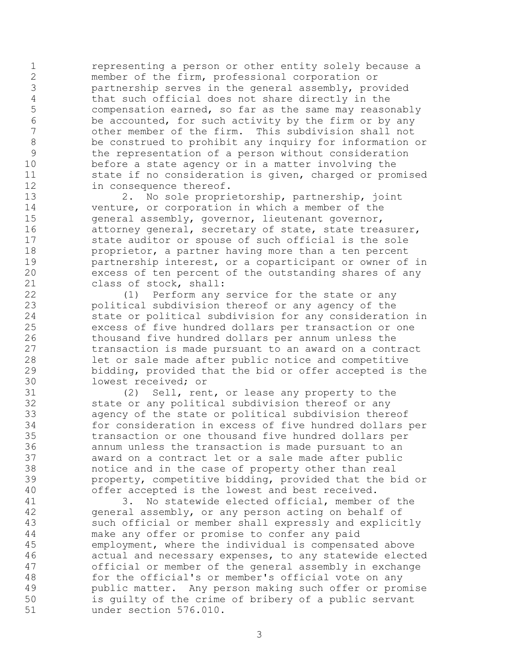representing a person or other entity solely because a member of the firm, professional corporation or partnership serves in the general assembly, provided that such official does not share directly in the compensation earned, so far as the same may reasonably 6 be accounted, for such activity by the firm or by any<br>7 other member of the firm. This subdivision shall not other member of the firm. This subdivision shall not be construed to prohibit any inquiry for information or the representation of a person without consideration before a state agency or in a matter involving the 11 state if no consideration is given, charged or promised in consequence thereof.

 2. No sole proprietorship, partnership, joint venture, or corporation in which a member of the general assembly, governor, lieutenant governor, 16 attorney general, secretary of state, state treasurer, state auditor or spouse of such official is the sole proprietor, a partner having more than a ten percent partnership interest, or a coparticipant or owner of in excess of ten percent of the outstanding shares of any class of stock, shall:

 (1) Perform any service for the state or any political subdivision thereof or any agency of the state or political subdivision for any consideration in excess of five hundred dollars per transaction or one thousand five hundred dollars per annum unless the transaction is made pursuant to an award on a contract let or sale made after public notice and competitive bidding, provided that the bid or offer accepted is the 30 lowest received; or<br>31 (2) Sell, ren

(2) Sell, rent, or lease any property to the state or any political subdivision thereof or any agency of the state or political subdivision thereof for consideration in excess of five hundred dollars per transaction or one thousand five hundred dollars per annum unless the transaction is made pursuant to an award on a contract let or a sale made after public 38 motice and in the case of property other than real<br>39 moroperty, competitive bidding, provided that the b property, competitive bidding, provided that the bid or offer accepted is the lowest and best received.

 3. No statewide elected official, member of the general assembly, or any person acting on behalf of such official or member shall expressly and explicitly make any offer or promise to confer any paid employment, where the individual is compensated above actual and necessary expenses, to any statewide elected official or member of the general assembly in exchange for the official's or member's official vote on any public matter. Any person making such offer or promise is guilty of the crime of bribery of a public servant under section 576.010.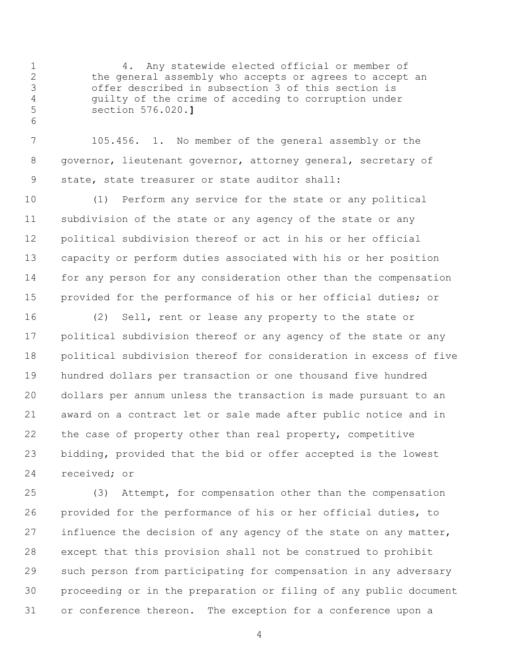4. Any statewide elected official or member of the general assembly who accepts or agrees to accept an offer described in subsection 3 of this section is guilty of the crime of acceding to corruption under section 576.020.**]**

 105.456. 1. No member of the general assembly or the governor, lieutenant governor, attorney general, secretary of state, state treasurer or state auditor shall:

 (1) Perform any service for the state or any political subdivision of the state or any agency of the state or any political subdivision thereof or act in his or her official capacity or perform duties associated with his or her position for any person for any consideration other than the compensation provided for the performance of his or her official duties; or

 (2) Sell, rent or lease any property to the state or political subdivision thereof or any agency of the state or any political subdivision thereof for consideration in excess of five hundred dollars per transaction or one thousand five hundred dollars per annum unless the transaction is made pursuant to an award on a contract let or sale made after public notice and in the case of property other than real property, competitive bidding, provided that the bid or offer accepted is the lowest received; or

 (3) Attempt, for compensation other than the compensation provided for the performance of his or her official duties, to 27 influence the decision of any agency of the state on any matter, except that this provision shall not be construed to prohibit such person from participating for compensation in any adversary proceeding or in the preparation or filing of any public document or conference thereon. The exception for a conference upon a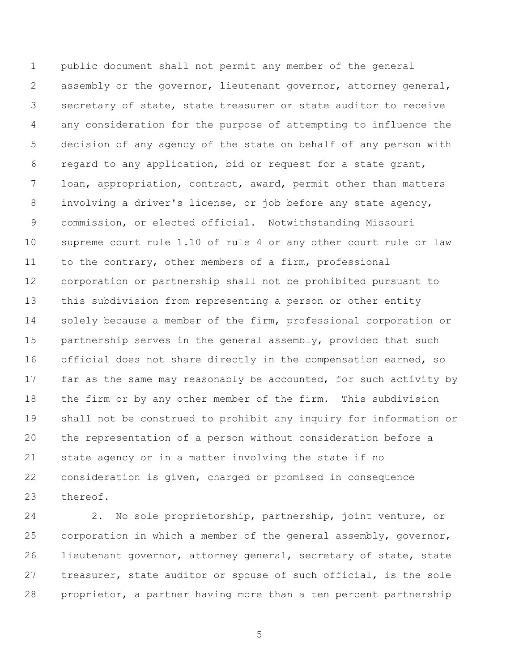public document shall not permit any member of the general assembly or the governor, lieutenant governor, attorney general, secretary of state, state treasurer or state auditor to receive any consideration for the purpose of attempting to influence the decision of any agency of the state on behalf of any person with regard to any application, bid or request for a state grant, loan, appropriation, contract, award, permit other than matters involving a driver's license, or job before any state agency, commission, or elected official. Notwithstanding Missouri supreme court rule 1.10 of rule 4 or any other court rule or law to the contrary, other members of a firm, professional corporation or partnership shall not be prohibited pursuant to this subdivision from representing a person or other entity 14 solely because a member of the firm, professional corporation or partnership serves in the general assembly, provided that such official does not share directly in the compensation earned, so 17 far as the same may reasonably be accounted, for such activity by the firm or by any other member of the firm. This subdivision shall not be construed to prohibit any inquiry for information or the representation of a person without consideration before a state agency or in a matter involving the state if no consideration is given, charged or promised in consequence thereof.

 2. No sole proprietorship, partnership, joint venture, or corporation in which a member of the general assembly, governor, lieutenant governor, attorney general, secretary of state, state treasurer, state auditor or spouse of such official, is the sole proprietor, a partner having more than a ten percent partnership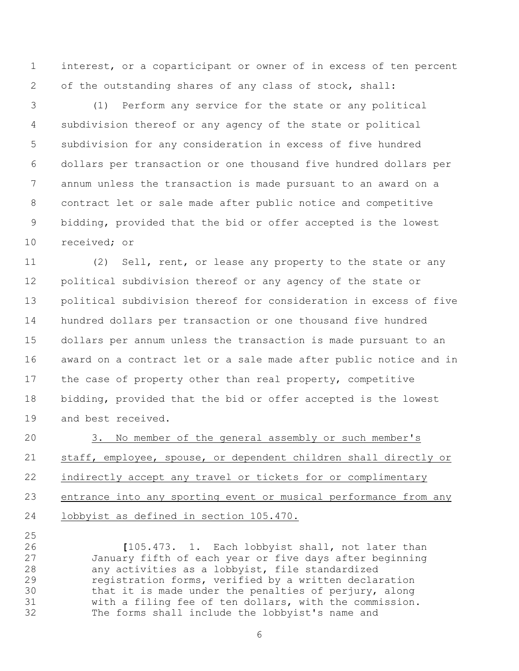interest, or a coparticipant or owner of in excess of ten percent of the outstanding shares of any class of stock, shall:

 (1) Perform any service for the state or any political subdivision thereof or any agency of the state or political subdivision for any consideration in excess of five hundred dollars per transaction or one thousand five hundred dollars per annum unless the transaction is made pursuant to an award on a contract let or sale made after public notice and competitive bidding, provided that the bid or offer accepted is the lowest received; or

 (2) Sell, rent, or lease any property to the state or any political subdivision thereof or any agency of the state or political subdivision thereof for consideration in excess of five hundred dollars per transaction or one thousand five hundred dollars per annum unless the transaction is made pursuant to an award on a contract let or a sale made after public notice and in the case of property other than real property, competitive bidding, provided that the bid or offer accepted is the lowest and best received.

 3. No member of the general assembly or such member's staff, employee, spouse, or dependent children shall directly or indirectly accept any travel or tickets for or complimentary entrance into any sporting event or musical performance from any lobbyist as defined in section 105.470.

 **[**105.473. 1. Each lobbyist shall, not later than 27 January fifth of each year or five days after beginning<br>28 any activities as a lobbyist, file standardized any activities as a lobbyist, file standardized registration forms, verified by a written declaration that it is made under the penalties of perjury, along with a filing fee of ten dollars, with the commission. The forms shall include the lobbyist's name and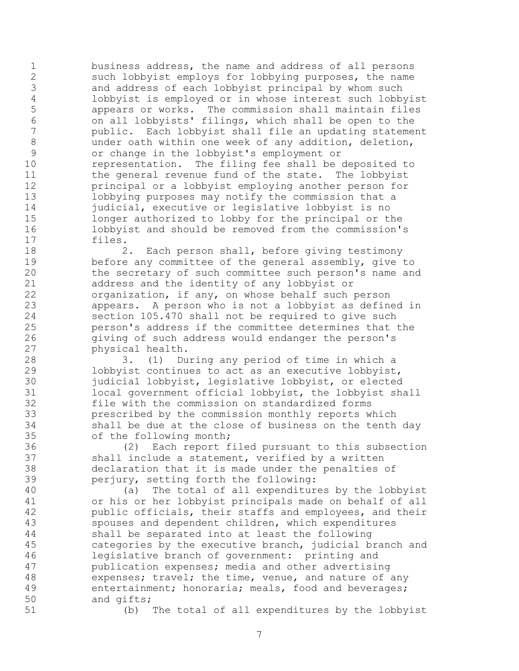business address, the name and address of all persons such lobbyist employs for lobbying purposes, the name and address of each lobbyist principal by whom such lobbyist is employed or in whose interest such lobbyist appears or works. The commission shall maintain files on all lobbyists' filings, which shall be open to the public. Each lobbyist shall file an updating statement under oath within one week of any addition, deletion, or change in the lobbyist's employment or representation. The filing fee shall be deposited to 11 the general revenue fund of the state. The lobbyist principal or a lobbyist employing another person for lobbying purposes may notify the commission that a 14 judicial, executive or legislative lobbyist is no longer authorized to lobby for the principal or the lobbyist and should be removed from the commission's files.

 2. Each person shall, before giving testimony before any committee of the general assembly, give to the secretary of such committee such person's name and address and the identity of any lobbyist or organization, if any, on whose behalf such person appears. A person who is not a lobbyist as defined in section 105.470 shall not be required to give such person's address if the committee determines that the giving of such address would endanger the person's physical health.

 3. (1) During any period of time in which a lobbyist continues to act as an executive lobbyist, 30 judicial lobbyist, legislative lobbyist, or elected<br>31 local government official lobbyist, the lobbyist sh local government official lobbyist, the lobbyist shall file with the commission on standardized forms prescribed by the commission monthly reports which shall be due at the close of business on the tenth day of the following month;

 (2) Each report filed pursuant to this subsection shall include a statement, verified by a written declaration that it is made under the penalties of perjury, setting forth the following:

 (a) The total of all expenditures by the lobbyist or his or her lobbyist principals made on behalf of all public officials, their staffs and employees, and their spouses and dependent children, which expenditures shall be separated into at least the following categories by the executive branch, judicial branch and legislative branch of government: printing and publication expenses; media and other advertising 48 expenses; travel; the time, venue, and nature of any entertainment; honoraria; meals, food and beverages; and gifts;

(b) The total of all expenditures by the lobbyist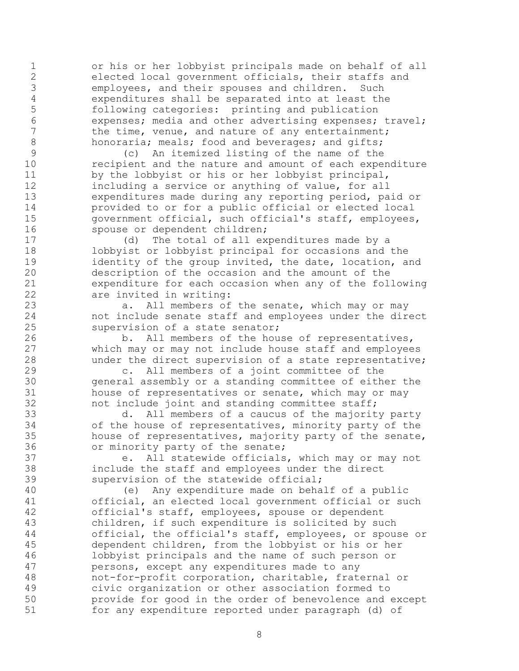or his or her lobbyist principals made on behalf of all elected local government officials, their staffs and employees, and their spouses and children. Such expenditures shall be separated into at least the following categories: printing and publication 6 expenses; media and other advertising expenses; travel;<br>7 the time, venue, and nature of any entertainment; the time, venue, and nature of any entertainment; 8 honoraria; meals; food and beverages; and gifts;

 (c) An itemized listing of the name of the recipient and the nature and amount of each expenditure by the lobbyist or his or her lobbyist principal, including a service or anything of value, for all expenditures made during any reporting period, paid or provided to or for a public official or elected local government official, such official's staff, employees, 16 spouse or dependent children;

 (d) The total of all expenditures made by a lobbyist or lobbyist principal for occasions and the 19 identity of the group invited, the date, location, and description of the occasion and the amount of the expenditure for each occasion when any of the following are invited in writing:

 a. All members of the senate, which may or may not include senate staff and employees under the direct supervision of a state senator;

 b. All members of the house of representatives, which may or may not include house staff and employees under the direct supervision of a state representative;

 c. All members of a joint committee of the 30 general assembly or a standing committee of either the<br>31 house of representatives or senate, which may or may house of representatives or senate, which may or may not include joint and standing committee staff;

 d. All members of a caucus of the majority party of the house of representatives, minority party of the house of representatives, majority party of the senate, or minority party of the senate;

 e. All statewide officials, which may or may not include the staff and employees under the direct supervision of the statewide official;

 (e) Any expenditure made on behalf of a public official, an elected local government official or such official's staff, employees, spouse or dependent children, if such expenditure is solicited by such official, the official's staff, employees, or spouse or dependent children, from the lobbyist or his or her lobbyist principals and the name of such person or persons, except any expenditures made to any not-for-profit corporation, charitable, fraternal or civic organization or other association formed to provide for good in the order of benevolence and except for any expenditure reported under paragraph (d) of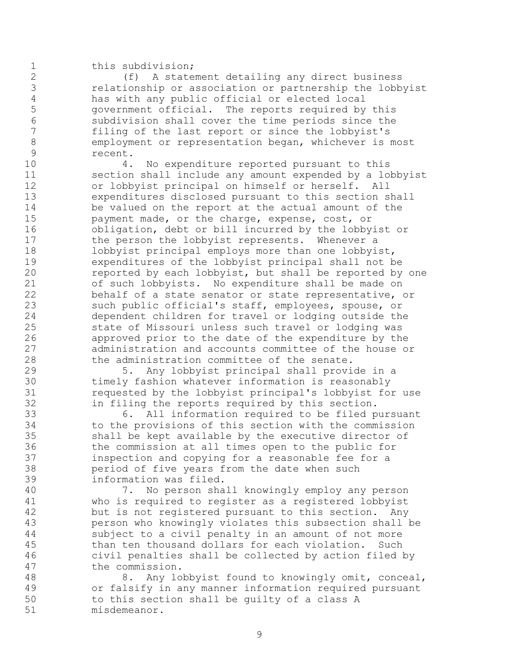## 1 this subdivision;

 (f) A statement detailing any direct business 3 relationship or association or partnership the lobbyist<br>4 has with any public official or elected local 4 has with any public official or elected local<br>5 oovernment official. The reports required by government official. The reports required by this subdivision shall cover the time periods since the filing of the last report or since the lobbyist's employment or representation began, whichever is most recent.

 4. No expenditure reported pursuant to this section shall include any amount expended by a lobbyist or lobbyist principal on himself or herself. All expenditures disclosed pursuant to this section shall be valued on the report at the actual amount of the payment made, or the charge, expense, cost, or obligation, debt or bill incurred by the lobbyist or 17 the person the lobbyist represents. Whenever a 18 lobbyist principal employs more than one lobbyist, expenditures of the lobbyist principal shall not be reported by each lobbyist, but shall be reported by one of such lobbyists. No expenditure shall be made on behalf of a state senator or state representative, or such public official's staff, employees, spouse, or dependent children for travel or lodging outside the state of Missouri unless such travel or lodging was approved prior to the date of the expenditure by the administration and accounts committee of the house or the administration committee of the senate.

 5. Any lobbyist principal shall provide in a 30 timely fashion whatever information is reasonably<br>31 sequested by the lobbyist principal's lobbyist for requested by the lobbyist principal's lobbyist for use in filing the reports required by this section.

 6. All information required to be filed pursuant to the provisions of this section with the commission shall be kept available by the executive director of the commission at all times open to the public for inspection and copying for a reasonable fee for a period of five years from the date when such information was filed.

 7. No person shall knowingly employ any person who is required to register as a registered lobbyist but is not registered pursuant to this section. Any person who knowingly violates this subsection shall be subject to a civil penalty in an amount of not more than ten thousand dollars for each violation. Such civil penalties shall be collected by action filed by the commission.

 8. Any lobbyist found to knowingly omit, conceal, or falsify in any manner information required pursuant to this section shall be guilty of a class A misdemeanor.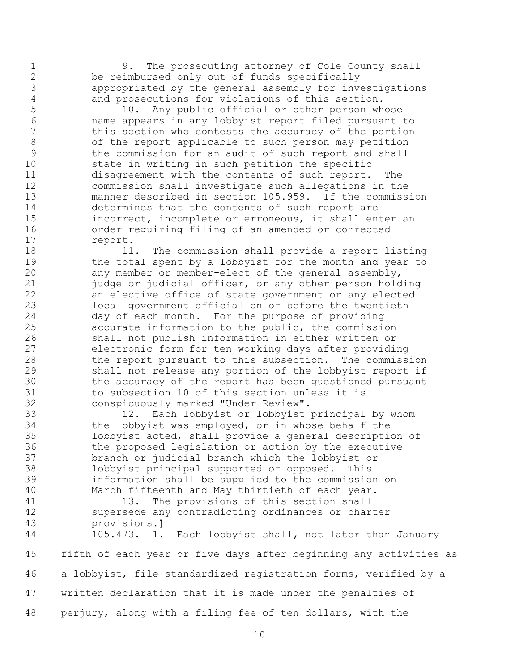9. The prosecuting attorney of Cole County shall be reimbursed only out of funds specifically appropriated by the general assembly for investigations and prosecutions for violations of this section.

 10. Any public official or other person whose name appears in any lobbyist report filed pursuant to this section who contests the accuracy of the portion of the report applicable to such person may petition the commission for an audit of such report and shall state in writing in such petition the specific disagreement with the contents of such report. The commission shall investigate such allegations in the manner described in section 105.959. If the commission determines that the contents of such report are incorrect, incomplete or erroneous, it shall enter an order requiring filing of an amended or corrected report.

 11. The commission shall provide a report listing 19 the total spent by a lobbyist for the month and year to any member or member-elect of the general assembly, 21 judge or judicial officer, or any other person holding an elective office of state government or any elected local government official on or before the twentieth day of each month. For the purpose of providing accurate information to the public, the commission shall not publish information in either written or electronic form for ten working days after providing the report pursuant to this subsection. The commission shall not release any portion of the lobbyist report if 30 the accuracy of the report has been questioned pursuant<br>31 to subsection 10 of this section unless it is to subsection 10 of this section unless it is conspicuously marked "Under Review".

 12. Each lobbyist or lobbyist principal by whom the lobbyist was employed, or in whose behalf the lobbyist acted, shall provide a general description of the proposed legislation or action by the executive branch or judicial branch which the lobbyist or lobbyist principal supported or opposed. This information shall be supplied to the commission on March fifteenth and May thirtieth of each year.

41 13. The provisions of this section shall supersede any contradicting ordinances or charter provisions.**]**

 105.473. 1. Each lobbyist shall, not later than January fifth of each year or five days after beginning any activities as a lobbyist, file standardized registration forms, verified by a written declaration that it is made under the penalties of perjury, along with a filing fee of ten dollars, with the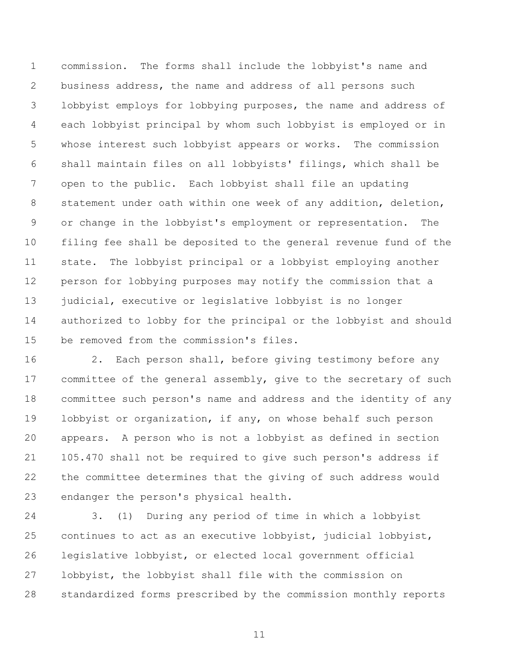commission. The forms shall include the lobbyist's name and business address, the name and address of all persons such lobbyist employs for lobbying purposes, the name and address of each lobbyist principal by whom such lobbyist is employed or in whose interest such lobbyist appears or works. The commission shall maintain files on all lobbyists' filings, which shall be open to the public. Each lobbyist shall file an updating statement under oath within one week of any addition, deletion, or change in the lobbyist's employment or representation. The filing fee shall be deposited to the general revenue fund of the state. The lobbyist principal or a lobbyist employing another person for lobbying purposes may notify the commission that a 13 judicial, executive or legislative lobbyist is no longer authorized to lobby for the principal or the lobbyist and should be removed from the commission's files.

 2. Each person shall, before giving testimony before any committee of the general assembly, give to the secretary of such committee such person's name and address and the identity of any lobbyist or organization, if any, on whose behalf such person appears. A person who is not a lobbyist as defined in section 105.470 shall not be required to give such person's address if the committee determines that the giving of such address would endanger the person's physical health.

 3. (1) During any period of time in which a lobbyist continues to act as an executive lobbyist, judicial lobbyist, legislative lobbyist, or elected local government official lobbyist, the lobbyist shall file with the commission on standardized forms prescribed by the commission monthly reports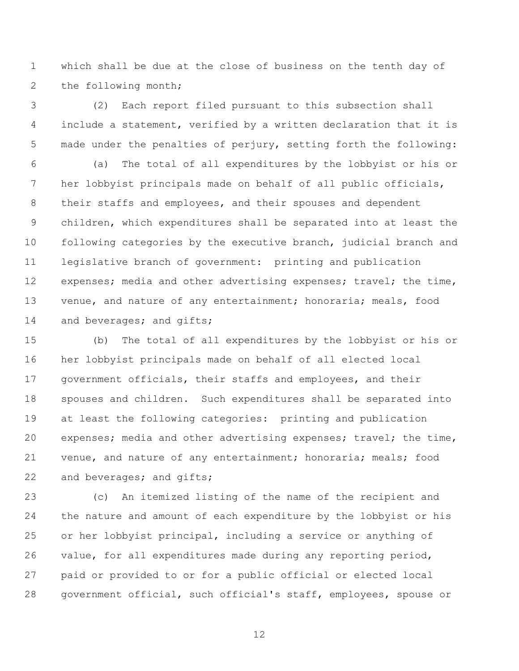which shall be due at the close of business on the tenth day of the following month;

 (2) Each report filed pursuant to this subsection shall include a statement, verified by a written declaration that it is made under the penalties of perjury, setting forth the following:

 (a) The total of all expenditures by the lobbyist or his or her lobbyist principals made on behalf of all public officials, 8 their staffs and employees, and their spouses and dependent children, which expenditures shall be separated into at least the following categories by the executive branch, judicial branch and legislative branch of government: printing and publication 12 expenses; media and other advertising expenses; travel; the time, venue, and nature of any entertainment; honoraria; meals, food 14 and beverages; and gifts;

 (b) The total of all expenditures by the lobbyist or his or her lobbyist principals made on behalf of all elected local government officials, their staffs and employees, and their spouses and children. Such expenditures shall be separated into at least the following categories: printing and publication expenses; media and other advertising expenses; travel; the time, venue, and nature of any entertainment; honoraria; meals; food 22 and beverages; and gifts;

 (c) An itemized listing of the name of the recipient and the nature and amount of each expenditure by the lobbyist or his or her lobbyist principal, including a service or anything of value, for all expenditures made during any reporting period, paid or provided to or for a public official or elected local government official, such official's staff, employees, spouse or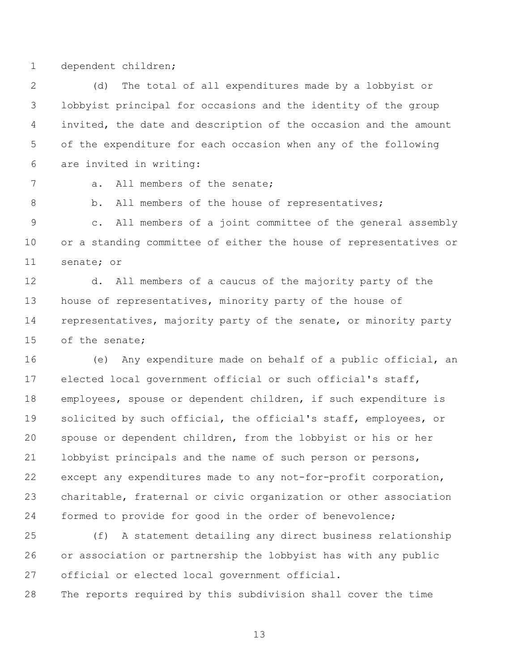dependent children;

 (d) The total of all expenditures made by a lobbyist or lobbyist principal for occasions and the identity of the group invited, the date and description of the occasion and the amount of the expenditure for each occasion when any of the following are invited in writing:

7 a. All members of the senate;

8 b. All members of the house of representatives;

 c. All members of a joint committee of the general assembly or a standing committee of either the house of representatives or senate; or

 d. All members of a caucus of the majority party of the 13 house of representatives, minority party of the house of representatives, majority party of the senate, or minority party of the senate;

 (e) Any expenditure made on behalf of a public official, an elected local government official or such official's staff, employees, spouse or dependent children, if such expenditure is solicited by such official, the official's staff, employees, or spouse or dependent children, from the lobbyist or his or her lobbyist principals and the name of such person or persons, except any expenditures made to any not-for-profit corporation, charitable, fraternal or civic organization or other association formed to provide for good in the order of benevolence;

 (f) A statement detailing any direct business relationship or association or partnership the lobbyist has with any public official or elected local government official.

The reports required by this subdivision shall cover the time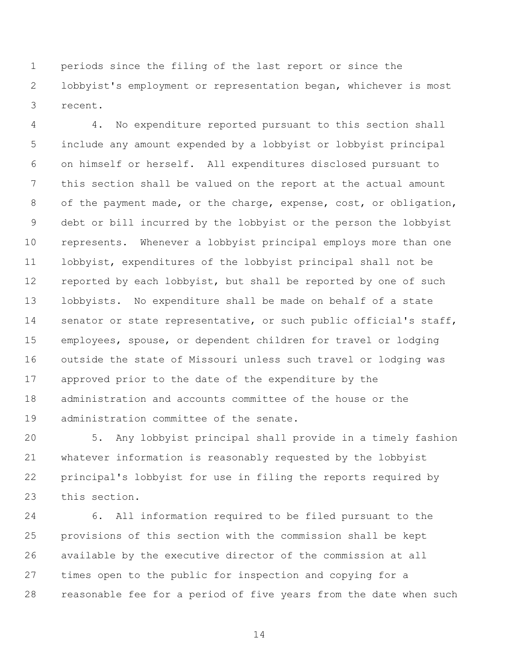periods since the filing of the last report or since the lobbyist's employment or representation began, whichever is most recent.

 4. No expenditure reported pursuant to this section shall include any amount expended by a lobbyist or lobbyist principal on himself or herself. All expenditures disclosed pursuant to this section shall be valued on the report at the actual amount 8 of the payment made, or the charge, expense, cost, or obligation, debt or bill incurred by the lobbyist or the person the lobbyist represents. Whenever a lobbyist principal employs more than one lobbyist, expenditures of the lobbyist principal shall not be reported by each lobbyist, but shall be reported by one of such lobbyists. No expenditure shall be made on behalf of a state 14 senator or state representative, or such public official's staff, employees, spouse, or dependent children for travel or lodging outside the state of Missouri unless such travel or lodging was approved prior to the date of the expenditure by the administration and accounts committee of the house or the administration committee of the senate.

 5. Any lobbyist principal shall provide in a timely fashion whatever information is reasonably requested by the lobbyist principal's lobbyist for use in filing the reports required by this section.

 6. All information required to be filed pursuant to the provisions of this section with the commission shall be kept available by the executive director of the commission at all times open to the public for inspection and copying for a reasonable fee for a period of five years from the date when such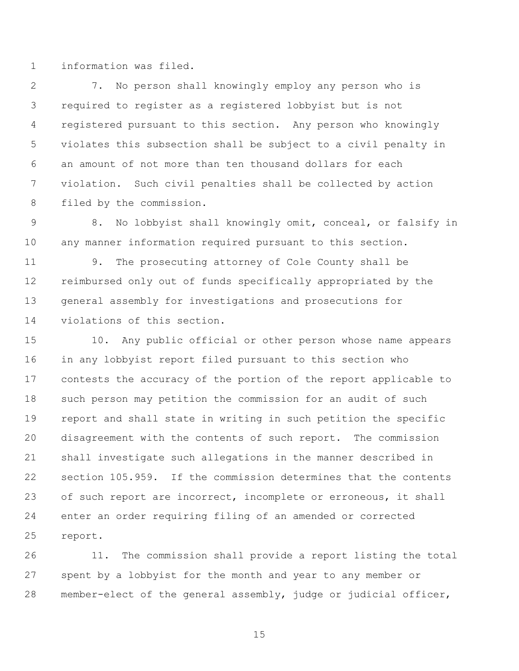information was filed.

 7. No person shall knowingly employ any person who is required to register as a registered lobbyist but is not registered pursuant to this section. Any person who knowingly violates this subsection shall be subject to a civil penalty in an amount of not more than ten thousand dollars for each violation. Such civil penalties shall be collected by action filed by the commission.

 8. No lobbyist shall knowingly omit, conceal, or falsify in any manner information required pursuant to this section.

 9. The prosecuting attorney of Cole County shall be reimbursed only out of funds specifically appropriated by the general assembly for investigations and prosecutions for violations of this section.

 10. Any public official or other person whose name appears in any lobbyist report filed pursuant to this section who contests the accuracy of the portion of the report applicable to such person may petition the commission for an audit of such report and shall state in writing in such petition the specific disagreement with the contents of such report. The commission shall investigate such allegations in the manner described in section 105.959. If the commission determines that the contents 23 of such report are incorrect, incomplete or erroneous, it shall enter an order requiring filing of an amended or corrected report.

 11. The commission shall provide a report listing the total spent by a lobbyist for the month and year to any member or member-elect of the general assembly, judge or judicial officer,